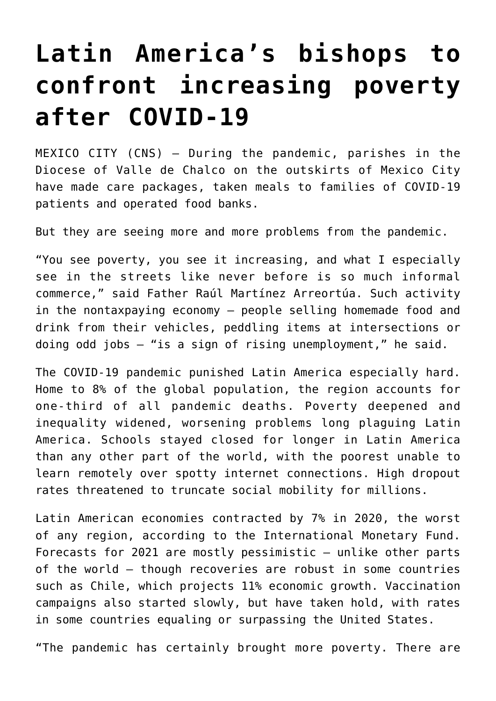## **[Latin America's bishops to](https://www.osvnews.com/2021/11/15/latin-americas-bishops-to-confront-increasing-poverty-after-covid-19/) [confront increasing poverty](https://www.osvnews.com/2021/11/15/latin-americas-bishops-to-confront-increasing-poverty-after-covid-19/) [after COVID-19](https://www.osvnews.com/2021/11/15/latin-americas-bishops-to-confront-increasing-poverty-after-covid-19/)**

MEXICO CITY (CNS) — During the pandemic, parishes in the Diocese of Valle de Chalco on the outskirts of Mexico City have made care packages, taken meals to families of COVID-19 patients and operated food banks.

But they are seeing more and more problems from the pandemic.

"You see poverty, you see it increasing, and what I especially see in the streets like never before is so much informal commerce," said Father Raúl Martínez Arreortúa. Such activity in the nontaxpaying economy — people selling homemade food and drink from their vehicles, peddling items at intersections or doing odd jobs — "is a sign of rising unemployment," he said.

The COVID-19 pandemic punished Latin America especially hard. Home to 8% of the global population, the region accounts for one-third of all pandemic deaths. Poverty deepened and inequality widened, worsening problems long plaguing Latin America. Schools stayed closed for longer in Latin America than any other part of the world, with the poorest unable to learn remotely over spotty internet connections. High dropout rates threatened to truncate social mobility for millions.

Latin American economies contracted by 7% in 2020, the worst of any region, according to the International Monetary Fund. Forecasts for 2021 are mostly pessimistic — unlike other parts of the world — though recoveries are robust in some countries such as Chile, which projects 11% economic growth. Vaccination campaigns also started slowly, but have taken hold, with rates in some countries equaling or surpassing the United States.

"The pandemic has certainly brought more poverty. There are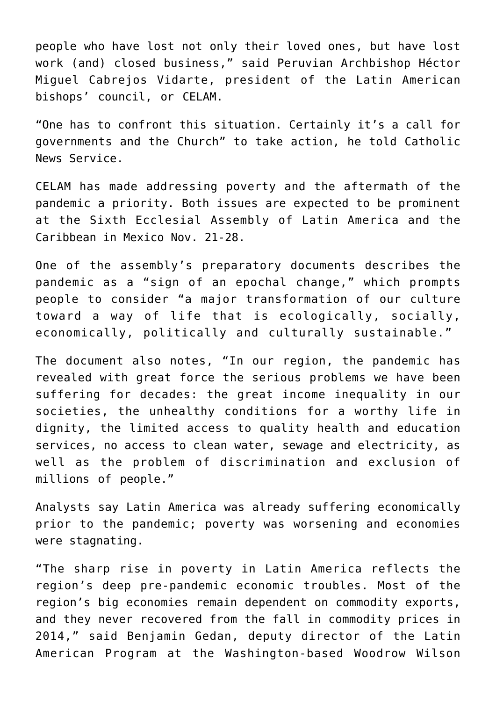people who have lost not only their loved ones, but have lost work (and) closed business," said Peruvian Archbishop Héctor Miguel Cabrejos Vidarte, president of the Latin American bishops' council, or CELAM.

"One has to confront this situation. Certainly it's a call for governments and the Church" to take action, he told Catholic News Service.

CELAM has made addressing poverty and the aftermath of the pandemic a priority. Both issues are expected to be prominent at the Sixth Ecclesial Assembly of Latin America and the Caribbean in Mexico Nov. 21-28.

One of the assembly's preparatory documents describes the pandemic as a "sign of an epochal change," which prompts people to consider "a major transformation of our culture toward a way of life that is ecologically, socially, economically, politically and culturally sustainable."

The document also notes, "In our region, the pandemic has revealed with great force the serious problems we have been suffering for decades: the great income inequality in our societies, the unhealthy conditions for a worthy life in dignity, the limited access to quality health and education services, no access to clean water, sewage and electricity, as well as the problem of discrimination and exclusion of millions of people."

Analysts say Latin America was already suffering economically prior to the pandemic; poverty was worsening and economies were stagnating.

"The sharp rise in poverty in Latin America reflects the region's deep pre-pandemic economic troubles. Most of the region's big economies remain dependent on commodity exports, and they never recovered from the fall in commodity prices in 2014," said Benjamin Gedan, deputy director of the Latin American Program at the Washington-based Woodrow Wilson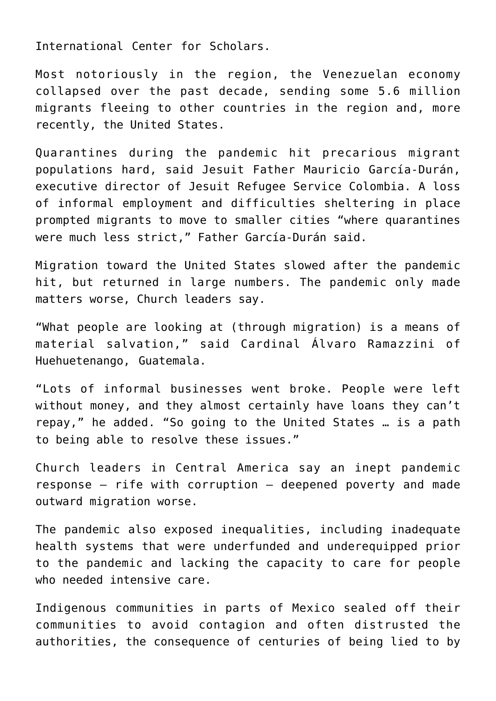International Center for Scholars.

Most notoriously in the region, the Venezuelan economy collapsed over the past decade, sending some 5.6 million migrants fleeing to other countries in the region and, more recently, the United States.

Quarantines during the pandemic hit precarious migrant populations hard, said Jesuit Father Mauricio García-Durán, executive director of Jesuit Refugee Service Colombia. A loss of informal employment and difficulties sheltering in place prompted migrants to move to smaller cities "where quarantines were much less strict," Father García-Durán said.

Migration toward the United States slowed after the pandemic hit, but returned in large numbers. The pandemic only made matters worse, Church leaders say.

"What people are looking at (through migration) is a means of material salvation," said Cardinal Álvaro Ramazzini of Huehuetenango, Guatemala.

"Lots of informal businesses went broke. People were left without money, and they almost certainly have loans they can't repay," he added. "So going to the United States … is a path to being able to resolve these issues."

Church leaders in Central America say an inept pandemic response — rife with corruption — deepened poverty and made outward migration worse.

The pandemic also exposed inequalities, including inadequate health systems that were underfunded and underequipped prior to the pandemic and lacking the capacity to care for people who needed intensive care.

Indigenous communities in parts of Mexico sealed off their communities to avoid contagion and often distrusted the authorities, the consequence of centuries of being lied to by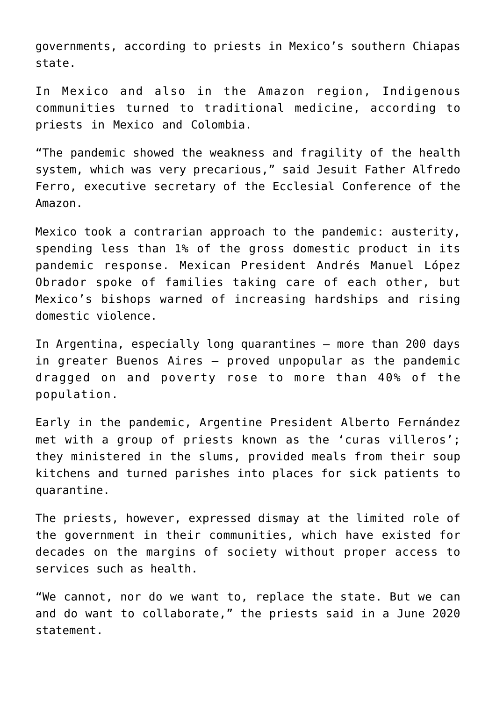governments, according to priests in Mexico's southern Chiapas state.

In Mexico and also in the Amazon region, Indigenous communities turned to traditional medicine, according to priests in Mexico and Colombia.

"The pandemic showed the weakness and fragility of the health system, which was very precarious," said Jesuit Father Alfredo Ferro, executive secretary of the Ecclesial Conference of the Amazon.

Mexico took a contrarian approach to the pandemic: austerity, spending less than 1% of the gross domestic product in its pandemic response. Mexican President Andrés Manuel López Obrador spoke of families taking care of each other, but Mexico's bishops warned of increasing hardships and rising domestic violence.

In Argentina, especially long quarantines — more than 200 days in greater Buenos Aires — proved unpopular as the pandemic dragged on and poverty rose to more than 40% of the population.

Early in the pandemic, Argentine President Alberto Fernández met with a group of priests known as the 'curas villeros'; they ministered in the slums, provided meals from their soup kitchens and turned parishes into places for sick patients to quarantine.

The priests, however, expressed dismay at the limited role of the government in their communities, which have existed for decades on the margins of society without proper access to services such as health.

"We cannot, nor do we want to, replace the state. But we can and do want to collaborate," the priests said in a June 2020 statement.